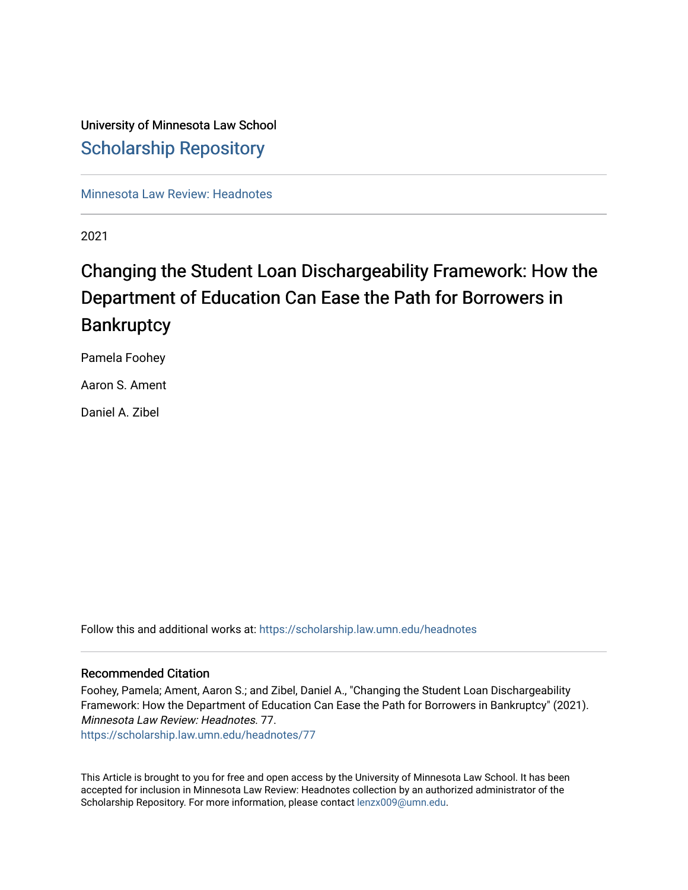# University of Minnesota Law School [Scholarship Repository](https://scholarship.law.umn.edu/)

[Minnesota Law Review: Headnotes](https://scholarship.law.umn.edu/headnotes) 

2021

# Changing the Student Loan Dischargeability Framework: How the Department of Education Can Ease the Path for Borrowers in **Bankruptcy**

Pamela Foohey

Aaron S. Ament

Daniel A. Zibel

Follow this and additional works at: [https://scholarship.law.umn.edu/headnotes](https://scholarship.law.umn.edu/headnotes?utm_source=scholarship.law.umn.edu%2Fheadnotes%2F77&utm_medium=PDF&utm_campaign=PDFCoverPages) 

# Recommended Citation

Foohey, Pamela; Ament, Aaron S.; and Zibel, Daniel A., "Changing the Student Loan Dischargeability Framework: How the Department of Education Can Ease the Path for Borrowers in Bankruptcy" (2021). Minnesota Law Review: Headnotes. 77.

[https://scholarship.law.umn.edu/headnotes/77](https://scholarship.law.umn.edu/headnotes/77?utm_source=scholarship.law.umn.edu%2Fheadnotes%2F77&utm_medium=PDF&utm_campaign=PDFCoverPages)

This Article is brought to you for free and open access by the University of Minnesota Law School. It has been accepted for inclusion in Minnesota Law Review: Headnotes collection by an authorized administrator of the Scholarship Repository. For more information, please contact [lenzx009@umn.edu.](mailto:lenzx009@umn.edu)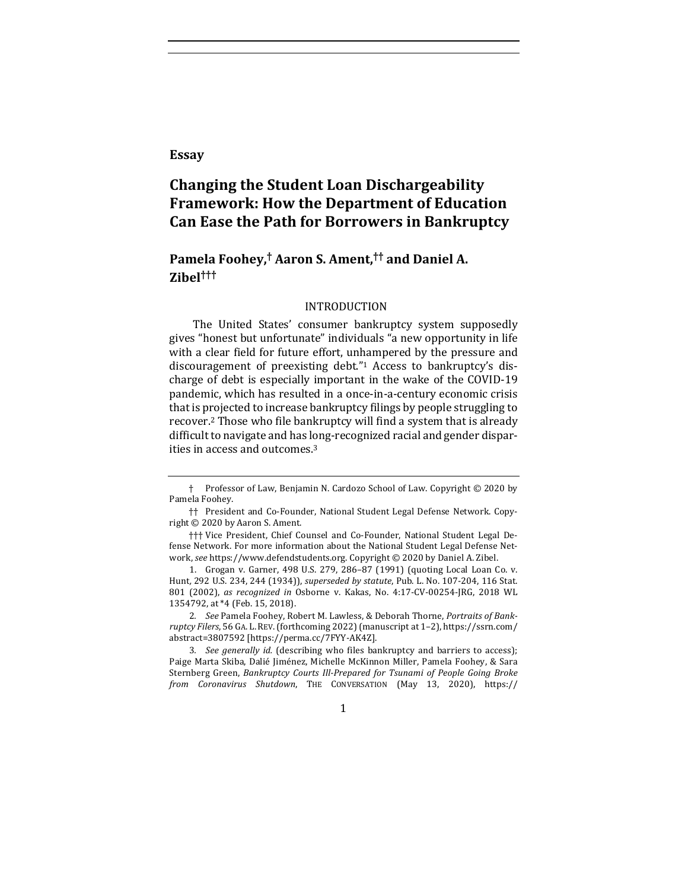**Essay**

# **Changing the Student Loan Dischargeability Framework: How the Department of Education Can Ease the Path for Borrowers in Bankruptcy**

# **Pamela Foohey,† Aaron S. Ament,†† and Daniel A. Zibel†††**

#### INTRODUCTION

The United States' consumer bankruptcy system supposedly gives "honest but unfortunate" individuals "a new opportunity in life with a clear field for future effort, unhampered by the pressure and discouragement of preexisting debt."<sup>1</sup> Access to bankruptcy's discharge of debt is especially important in the wake of the COVID-19 pandemic, which has resulted in a once-in-a-century economic crisis that is projected to increase bankruptcy filings by people struggling to recover.<sup>2</sup> Those who file bankruptcy will find a system that is already difficult to navigate and has long-recognized racial and gender disparities in access and outcomes.<sup>3</sup>

2. See Pamela Foohey, Robert M. Lawless, & Deborah Thorne, Portraits of Bank*ruptcy Filers*, 56 GA. L.REV.(forthcoming 2022) (manuscript at 1–2), https://ssrn.com/ abstract=3807592 [https://perma.cc/7FYY-AK4Z]. 

3. *See generally id.* (describing who files bankruptcy and barriers to access); Paige Marta Skiba, Dalié Jiménez, Michelle McKinnon Miller, Pamela Foohey, & Sara Sternberg Green, *Bankruptcy Courts Ill-Prepared for Tsunami of People Going Broke from Coronavirus Shutdown*, THE CONVERSATION (May 13, 2020), https://

1

<sup>†</sup> Professor of Law, Benjamin N. Cardozo School of Law. Copyright © 2020 by Pamela Foohey.

<sup>††</sup> President and Co-Founder, National Student Legal Defense Network. Copyright  $\odot$  2020 by Aaron S. Ament.

<sup>†††</sup> Vice President, Chief Counsel and Co-Founder, National Student Legal Defense Network. For more information about the National Student Legal Defense Network, see https://www.defendstudents.org. Copyright © 2020 by Daniel A. Zibel.

<sup>1.</sup> Grogan v. Garner, 498 U.S. 279, 286-87 (1991) (quoting Local Loan Co. v. Hunt, 292 U.S. 234, 244 (1934)), *superseded by statute*, Pub. L. No. 107-204, 116 Stat. 801 (2002), as recognized in Osborne v. Kakas, No. 4:17-CV-00254-JRG, 2018 WL 1354792, at \*4 (Feb. 15, 2018).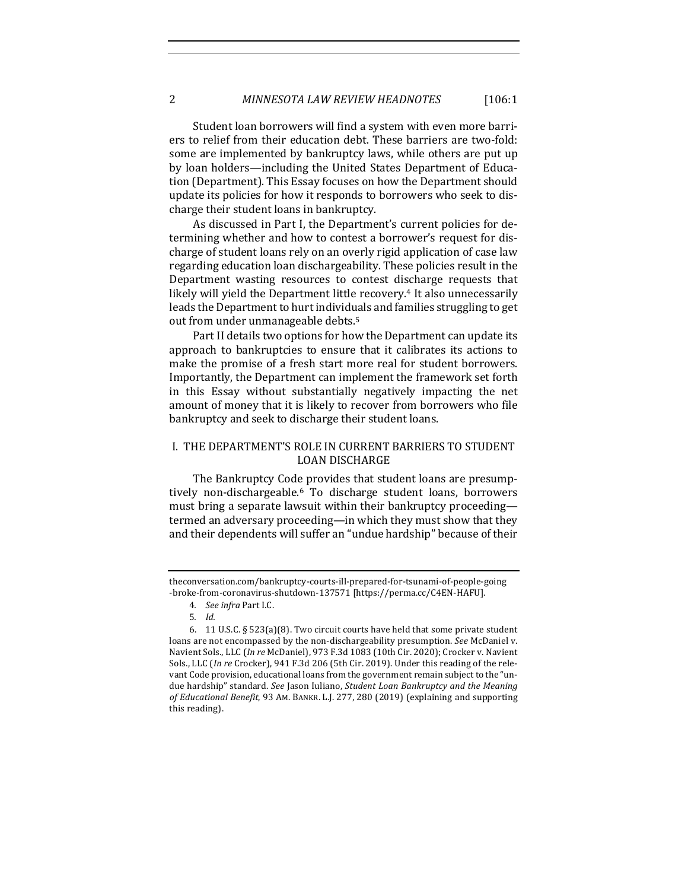Student loan borrowers will find a system with even more barriers to relief from their education debt. These barriers are two-fold: some are implemented by bankruptcy laws, while others are put up by loan holders—including the United States Department of Education (Department). This Essay focuses on how the Department should update its policies for how it responds to borrowers who seek to discharge their student loans in bankruptcy.

As discussed in Part I, the Department's current policies for determining whether and how to contest a borrower's request for discharge of student loans rely on an overly rigid application of case law regarding education loan dischargeability. These policies result in the Department wasting resources to contest discharge requests that likely will yield the Department little recovery.<sup>4</sup> It also unnecessarily leads the Department to hurt individuals and families struggling to get out from under unmanageable debts.<sup>5</sup>

Part II details two options for how the Department can update its approach to bankruptcies to ensure that it calibrates its actions to make the promise of a fresh start more real for student borrowers. Importantly, the Department can implement the framework set forth in this Essay without substantially negatively impacting the net amount of money that it is likely to recover from borrowers who file bankruptcy and seek to discharge their student loans.

# I. THE DEPARTMENT'S ROLE IN CURRENT BARRIERS TO STUDENT LOAN DISCHARGE

The Bankruptcy Code provides that student loans are presumptively non-dischargeable.<sup>6</sup> To discharge student loans, borrowers must bring a separate lawsuit within their bankruptcy proceedingtermed an adversary proceeding—in which they must show that they and their dependents will suffer an "undue hardship" because of their

theconversation.com/bankruptcy-courts-ill-prepared-for-tsunami-of-people-going -broke-from-coronavirus-shutdown-137571 [https://perma.cc/C4EN-HAFU].

<sup>4</sup>*. See infra* Part I.C.

<sup>5</sup>*. Id.*

<sup>6. 11</sup> U.S.C. §  $523(a)(8)$ . Two circuit courts have held that some private student loans are not encompassed by the non-dischargeability presumption. *See* McDaniel v. Navient Sols., LLC (*In re* McDaniel), 973 F.3d 1083 (10th Cir. 2020); Crocker v. Navient Sols., LLC (*In re* Crocker), 941 F.3d 206 (5th Cir. 2019). Under this reading of the relevant Code provision, educational loans from the government remain subject to the "undue hardship" standard. See Jason Iuliano, Student Loan Bankruptcy and the Meaning of Educational Benefit, 93 AM. BANKR. L.J. 277, 280 (2019) (explaining and supporting this reading).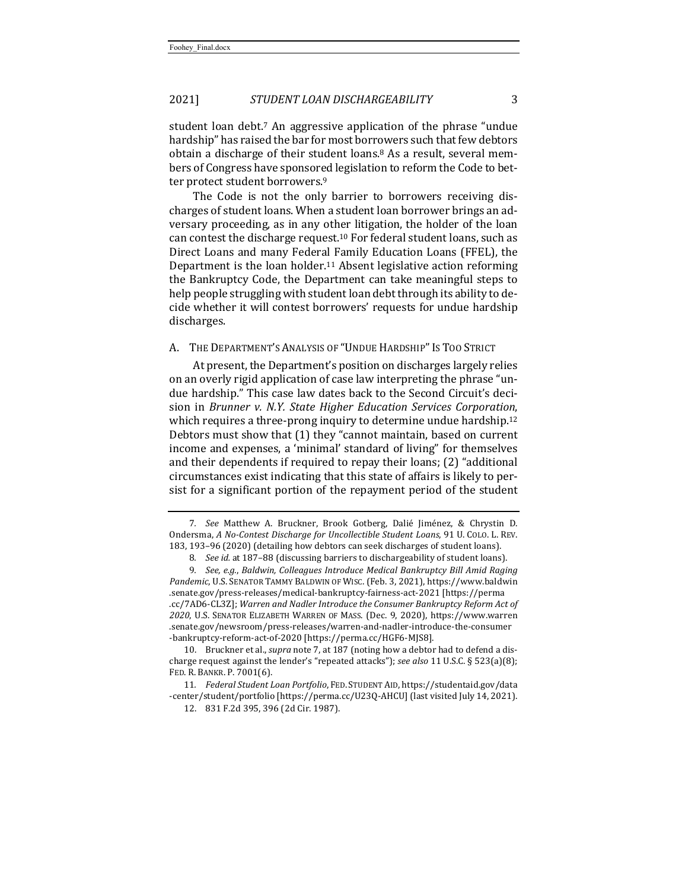student loan debt.<sup>7</sup> An aggressive application of the phrase "undue hardship" has raised the bar for most borrowers such that few debtors obtain a discharge of their student loans.<sup>8</sup> As a result, several members of Congress have sponsored legislation to reform the Code to better protect student borrowers.<sup>9</sup>

The Code is not the only barrier to borrowers receiving discharges of student loans. When a student loan borrower brings an adversary proceeding, as in any other litigation, the holder of the loan can contest the discharge request.<sup>10</sup> For federal student loans, such as Direct Loans and many Federal Family Education Loans (FFEL), the Department is the loan holder.<sup>11</sup> Absent legislative action reforming the Bankruptcy Code, the Department can take meaningful steps to help people struggling with student loan debt through its ability to decide whether it will contest borrowers' requests for undue hardship discharges. 

#### A. THE DEPARTMENT'S ANALYSIS OF "UNDUE HARDSHIP" IS TOO STRICT

At present, the Department's position on discharges largely relies on an overly rigid application of case law interpreting the phrase "undue hardship." This case law dates back to the Second Circuit's decision in *Brunner v. N.Y. State Higher Education Services Corporation*, which requires a three-prong inquiry to determine undue hardship.<sup>12</sup> Debtors must show that (1) they "cannot maintain, based on current income and expenses, a 'minimal' standard of living" for themselves and their dependents if required to repay their loans;  $(2)$  "additional circumstances exist indicating that this state of affairs is likely to persist for a significant portion of the repayment period of the student

10. Bruckner et al., *supra* note 7, at 187 (noting how a debtor had to defend a discharge request against the lender's "repeated attacks"); see also 11 U.S.C. § 523(a)(8); FED. R. BANKR. P. 7001(6).

11*. Federal Student Loan Portfolio*, FED. STUDENT AID, https://studentaid.gov/data -center/student/portfolio [https://perma.cc/U23Q-AHCU] (last visited July 14, 2021).

<sup>7</sup>*. See* Matthew A. Bruckner, Brook Gotberg, Dalié Jiménez, & Chrystin D. Ondersma, A No-Contest Discharge for Uncollectible Student Loans, 91 U. COLO. L. REV. 183, 193-96 (2020) (detailing how debtors can seek discharges of student loans).

<sup>8.</sup> *See id.* at 187-88 (discussing barriers to dischargeability of student loans).

<sup>9.</sup> See, e.g., Baldwin, Colleagues Introduce Medical Bankruptcy Bill Amid Raging Pandemic, U.S. SENATOR TAMMY BALDWIN OF WISC. (Feb. 3, 2021), https://www.baldwin .senate.gov/press-releases/medical-bankruptcy-fairness-act-2021 [https://perma .cc/7AD6-CL3Z]; Warren and Nadler Introduce the Consumer Bankruptcy Reform Act of 2020, U.S. SENATOR ELIZABETH WARREN OF MASS. (Dec. 9, 2020), https://www.warren .senate.gov/newsroom/press-releases/warren-and-nadler-introduce-the-consumer -bankruptcy-reform-act-of-2020 [https://perma.cc/HGF6-MJS8].

<sup>12. 831</sup> F.2d 395, 396 (2d Cir. 1987).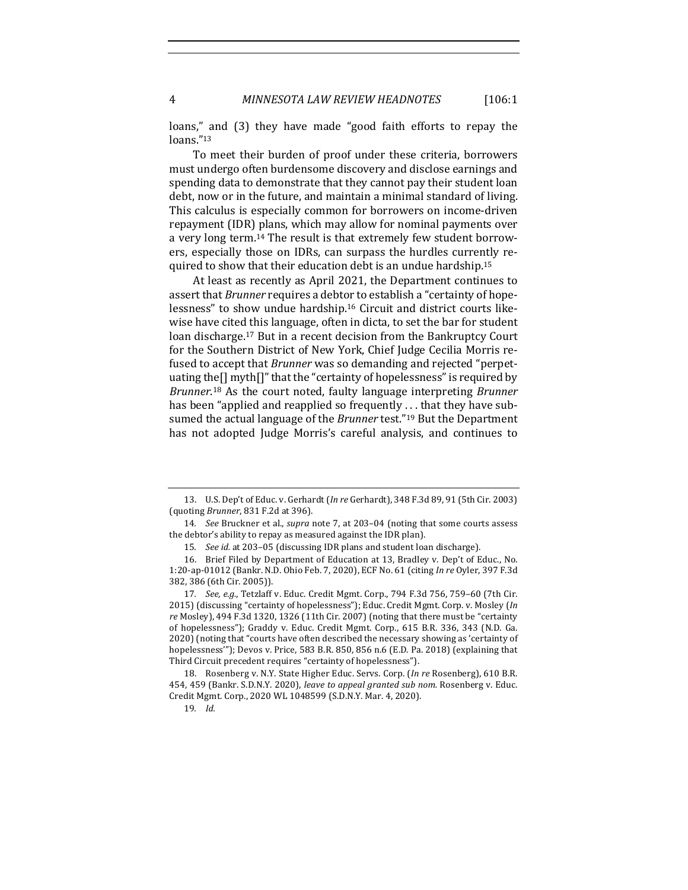loans," and (3) they have made "good faith efforts to repay the loans."13

To meet their burden of proof under these criteria, borrowers must undergo often burdensome discovery and disclose earnings and spending data to demonstrate that they cannot pay their student loan debt, now or in the future, and maintain a minimal standard of living. This calculus is especially common for borrowers on income-driven repayment (IDR) plans, which may allow for nominal payments over a very long term.<sup>14</sup> The result is that extremely few student borrowers, especially those on IDRs, can surpass the hurdles currently required to show that their education debt is an undue hardship.<sup>15</sup>

At least as recently as April 2021, the Department continues to assert that *Brunner* requires a debtor to establish a "certainty of hopelessness" to show undue hardship.<sup>16</sup> Circuit and district courts likewise have cited this language, often in dicta, to set the bar for student loan discharge.<sup>17</sup> But in a recent decision from the Bankruptcy Court for the Southern District of New York, Chief Judge Cecilia Morris refused to accept that *Brunner* was so demanding and rejected "perpetuating the $[$ ] myth $[$ ]" that the "certainty of hopelessness" is required by Brunner.<sup>18</sup> As the court noted, faulty language interpreting Brunner has been "applied and reapplied so frequently  $\dots$  that they have subsumed the actual language of the *Brunner* test."<sup>19</sup> But the Department has not adopted Judge Morris's careful analysis, and continues to

<sup>13.</sup> U.S. Dep't of Educ. v. Gerhardt (*In re* Gerhardt), 348 F.3d 89, 91 (5th Cir. 2003) (quoting *Brunner*, 831 F.2d at 396).

<sup>14.</sup> *See* Bruckner et al., *supra* note 7, at 203-04 (noting that some courts assess the debtor's ability to repay as measured against the IDR plan).

<sup>15.</sup> See id. at 203-05 (discussing IDR plans and student loan discharge).

<sup>16.</sup> Brief Filed by Department of Education at 13, Bradley v. Dep't of Educ., No. 1:20-ap-01012 (Bankr. N.D. Ohio Feb. 7, 2020), ECF No. 61 (citing *In re* Oyler, 397 F.3d 382, 386 (6th Cir. 2005)).

<sup>17.</sup> *See, e.g.*, Tetzlaff v. Educ. Credit Mgmt. Corp., 794 F.3d 756, 759-60 (7th Cir. 2015) (discussing "certainty of hopelessness"); Educ. Credit Mgmt. Corp. v. Mosley (In re Mosley), 494 F.3d 1320, 1326 (11th Cir. 2007) (noting that there must be "certainty of hopelessness"); Graddy v. Educ. Credit Mgmt. Corp., 615 B.R. 336, 343 (N.D. Ga. 2020) (noting that "courts have often described the necessary showing as 'certainty of hopelessness"'); Devos v. Price, 583 B.R. 850, 856 n.6 (E.D. Pa. 2018) (explaining that Third Circuit precedent requires "certainty of hopelessness").

<sup>18.</sup> Rosenberg v. N.Y. State Higher Educ. Servs. Corp. (In re Rosenberg), 610 B.R. 454, 459 (Bankr. S.D.N.Y. 2020), *leave to appeal granted sub nom.* Rosenberg v. Educ. Credit Mgmt. Corp., 2020 WL 1048599 (S.D.N.Y. Mar. 4, 2020).

<sup>19</sup>*. Id.*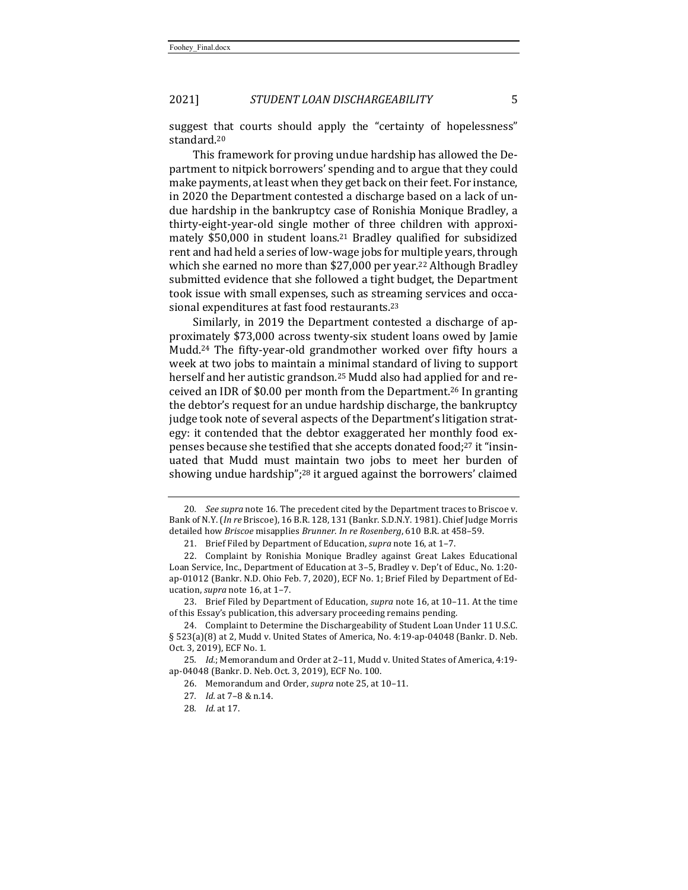suggest that courts should apply the "certainty of hopelessness" standard.20

This framework for proving undue hardship has allowed the Department to nitpick borrowers' spending and to argue that they could make payments, at least when they get back on their feet. For instance, in 2020 the Department contested a discharge based on a lack of undue hardship in the bankruptcy case of Ronishia Monique Bradley, a thirty-eight-year-old single mother of three children with approximately \$50,000 in student loans.<sup>21</sup> Bradley qualified for subsidized rent and had held a series of low-wage jobs for multiple years, through which she earned no more than \$27,000 per year.<sup>22</sup> Although Bradley submitted evidence that she followed a tight budget, the Department took issue with small expenses, such as streaming services and occasional expenditures at fast food restaurants.<sup>23</sup>

Similarly, in 2019 the Department contested a discharge of approximately \$73,000 across twenty-six student loans owed by Jamie Mudd.<sup>24</sup> The fifty-year-old grandmother worked over fifty hours a week at two jobs to maintain a minimal standard of living to support herself and her autistic grandson.<sup>25</sup> Mudd also had applied for and received an IDR of \$0.00 per month from the Department.<sup>26</sup> In granting the debtor's request for an undue hardship discharge, the bankruptcy judge took note of several aspects of the Department's litigation strategy: it contended that the debtor exaggerated her monthly food expenses because she testified that she accepts donated food;<sup>27</sup> it "insinuated that Mudd must maintain two jobs to meet her burden of showing undue hardship";<sup>28</sup> it argued against the borrowers' claimed

<sup>20</sup>*. See supra* note 16. The precedent cited by the Department traces to Briscoe v. Bank of N.Y. (*In re* Briscoe), 16 B.R. 128, 131 (Bankr. S.D.N.Y. 1981). Chief Judge Morris detailed how *Briscoe* misapplies *Brunner*. *In re Rosenberg*, 610 B.R. at 458-59.

<sup>21.</sup> Brief Filed by Department of Education, *supra* note 16, at 1-7.

<sup>22.</sup> Complaint by Ronishia Monique Bradley against Great Lakes Educational Loan Service, Inc., Department of Education at 3-5, Bradley v. Dep't of Educ., No. 1:20ap-01012 (Bankr. N.D. Ohio Feb. 7, 2020), ECF No. 1; Brief Filed by Department of Education, *supra* note 16, at 1-7.

<sup>23.</sup> Brief Filed by Department of Education, *supra* note 16, at 10–11. At the time of this Essay's publication, this adversary proceeding remains pending.

<sup>24.</sup> Complaint to Determine the Dischargeability of Student Loan Under 11 U.S.C.  $\S 523(a)(8)$  at 2, Mudd v. United States of America, No. 4:19-ap-04048 (Bankr. D. Neb. Oct. 3, 2019), ECF No. 1.

<sup>25.</sup> Id.; Memorandum and Order at 2-11, Mudd v. United States of America, 4:19ap-04048 (Bankr. D. Neb. Oct. 3, 2019), ECF No. 100.

<sup>26.</sup> Memorandum and Order, *supra* note 25, at 10-11.

<sup>27</sup>*. Id.* at 7–8 & n.14.

<sup>28</sup>*. Id.* at 17.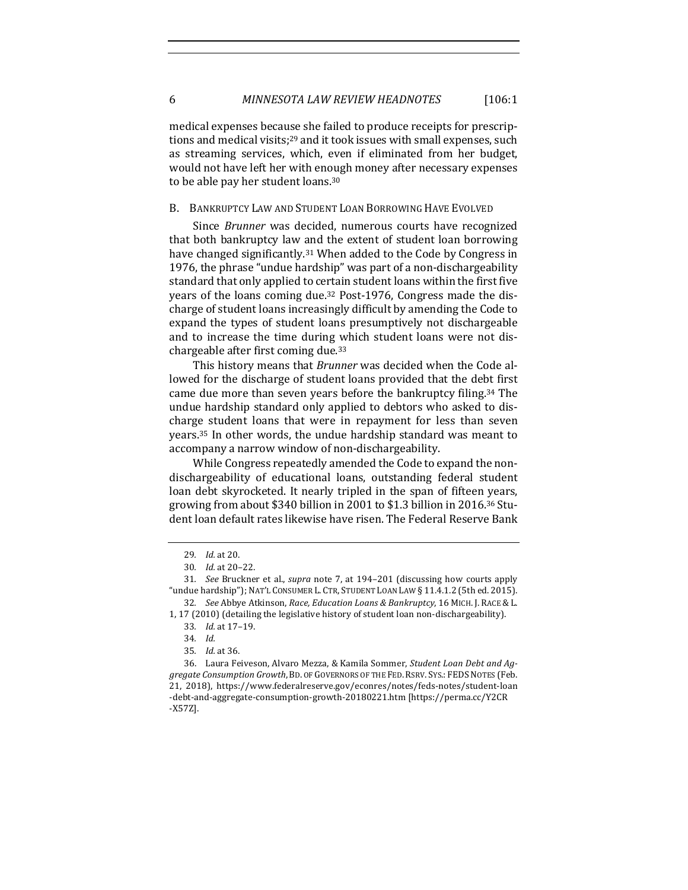medical expenses because she failed to produce receipts for prescriptions and medical visits;<sup>29</sup> and it took issues with small expenses, such as streaming services, which, even if eliminated from her budget, would not have left her with enough money after necessary expenses to be able pay her student loans.<sup>30</sup>

#### B. BANKRUPTCY LAW AND STUDENT LOAN BORROWING HAVE EVOLVED

Since *Brunner* was decided, numerous courts have recognized that both bankruptcy law and the extent of student loan borrowing have changed significantly.<sup>31</sup> When added to the Code by Congress in 1976, the phrase "undue hardship" was part of a non-dischargeability standard that only applied to certain student loans within the first five years of the loans coming due.<sup>32</sup> Post-1976, Congress made the discharge of student loans increasingly difficult by amending the Code to expand the types of student loans presumptively not dischargeable and to increase the time during which student loans were not dischargeable after first coming due.<sup>33</sup>

This history means that *Brunner* was decided when the Code allowed for the discharge of student loans provided that the debt first came due more than seven years before the bankruptcy filing.<sup>34</sup> The undue hardship standard only applied to debtors who asked to discharge student loans that were in repayment for less than seven years.<sup>35</sup> In other words, the undue hardship standard was meant to accompany a narrow window of non-dischargeability.

While Congress repeatedly amended the Code to expand the nondischargeability of educational loans, outstanding federal student loan debt skyrocketed. It nearly tripled in the span of fifteen years, growing from about \$340 billion in 2001 to \$1.3 billion in 2016.<sup>36</sup> Student loan default rates likewise have risen. The Federal Reserve Bank

<sup>29</sup>*. Id.* at 20.

<sup>30.</sup> *Id.* at 20-22.

<sup>31.</sup> *See* Bruckner et al., *supra* note 7, at 194-201 (discussing how courts apply "undue hardship"); NAT'L CONSUMER L. CTR, STUDENT LOAN LAW § 11.4.1.2 (5th ed. 2015). 32. *See Abbye Atkinson, Race, Education Loans & Bankruptcy, 16 MICH. J. RACE & L.* 

<sup>1, 17</sup>  $(2010)$  (detailing the legislative history of student loan non-dischargeability).

<sup>33</sup>*. Id.* at 17–19.

<sup>34</sup>*. Id.*

<sup>35</sup>*. Id.* at 36.

<sup>36.</sup> Laura Feiveson, Alvaro Mezza, & Kamila Sommer, *Student Loan Debt and Aggregate Consumption Growth*, BD. OF GOVERNORS OF THE FED. RSRV. SYS.: FEDS NOTES (Feb. 21, 2018), https://www.federalreserve.gov/econres/notes/feds-notes/student-loan -debt-and-aggregate-consumption-growth-20180221.htm [https://perma.cc/Y2CR -X57Z].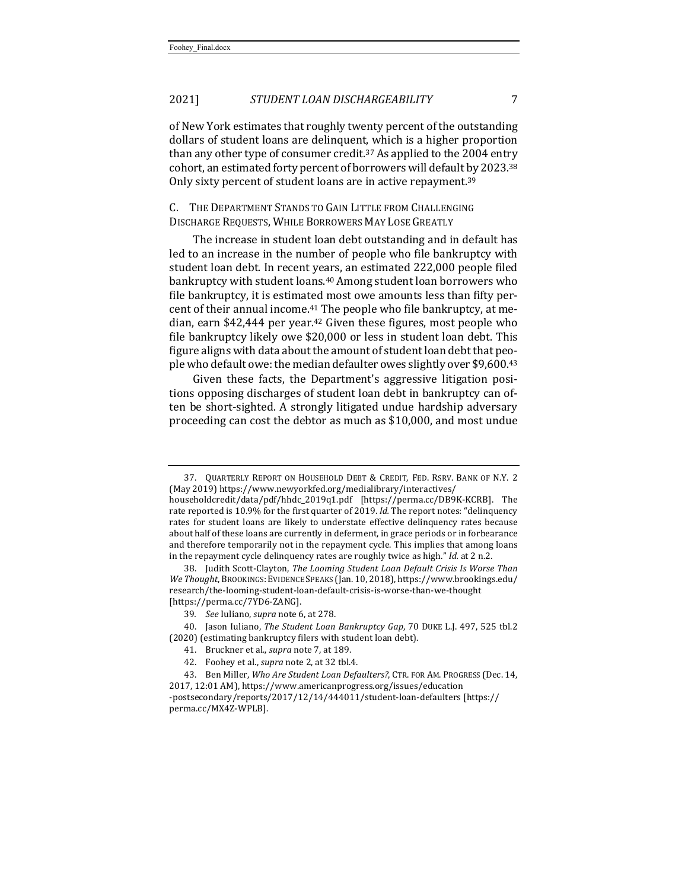of New York estimates that roughly twenty percent of the outstanding dollars of student loans are delinquent, which is a higher proportion than any other type of consumer credit.<sup>37</sup> As applied to the 2004 entry cohort, an estimated forty percent of borrowers will default by 2023.<sup>38</sup> Only sixty percent of student loans are in active repayment.<sup>39</sup>

#### C. THE DEPARTMENT STANDS TO GAIN LITTLE FROM CHALLENGING DISCHARGE REQUESTS, WHILE BORROWERS MAY LOSE GREATLY

The increase in student loan debt outstanding and in default has led to an increase in the number of people who file bankruptcy with student loan debt. In recent years, an estimated 222,000 people filed bankruptcy with student loans.<sup>40</sup> Among student loan borrowers who file bankruptcy, it is estimated most owe amounts less than fifty percent of their annual income.<sup>41</sup> The people who file bankruptcy, at median, earn \$42,444 per year.<sup>42</sup> Given these figures, most people who file bankruptcy likely owe \$20,000 or less in student loan debt. This figure aligns with data about the amount of student loan debt that people who default owe: the median defaulter owes slightly over \$9,600.43

Given these facts, the Department's aggressive litigation positions opposing discharges of student loan debt in bankruptcy can often be short-sighted. A strongly litigated undue hardship adversary proceeding can cost the debtor as much as \$10,000, and most undue

<sup>37.</sup> QUARTERLY REPORT ON HOUSEHOLD DEBT & CREDIT, FED. RSRV. BANK OF N.Y. 2 (May 2019) https://www.newyorkfed.org/medialibrary/interactives/

householdcredit/data/pdf/hhdc\_2019q1.pdf [https://perma.cc/DB9K-KCRB]. The rate reported is 10.9% for the first quarter of 2019. *Id.* The report notes: "delinquency rates for student loans are likely to understate effective delinquency rates because about half of these loans are currently in deferment, in grace periods or in forbearance and therefore temporarily not in the repayment cycle. This implies that among loans in the repayment cycle delinquency rates are roughly twice as high." *Id.* at 2 n.2.

<sup>38.</sup> Judith Scott-Clayton, *The Looming Student Loan Default Crisis Is Worse Than* We Thought, BROOKINGS: EVIDENCE SPEAKS (Jan. 10, 2018), https://www.brookings.edu/ research/the-looming-student-loan-default-crisis-is-worse-than-we-thought [https://perma.cc/7YD6-ZANG]. 

<sup>39</sup>*. See* Iuliano, *supra* note 6, at 278.

<sup>40.</sup> Jason Iuliano, *The Student Loan Bankruptcy Gap*, 70 DUKE L.J. 497, 525 tbl.2 (2020) (estimating bankruptcy filers with student loan debt).

<sup>41.</sup> Bruckner et al., *supra* note 7, at 189.

<sup>42.</sup> Foohey et al., *supra* note 2, at 32 tbl.4.

<sup>43.</sup> Ben Miller, Who Are Student Loan Defaulters?, CTR. FOR AM. PROGRESS (Dec. 14, 2017, 12:01 AM), https://www.americanprogress.org/issues/education -postsecondary/reports/2017/12/14/444011/student-loan-defaulters [https://

perma.cc/MX4Z-WPLB].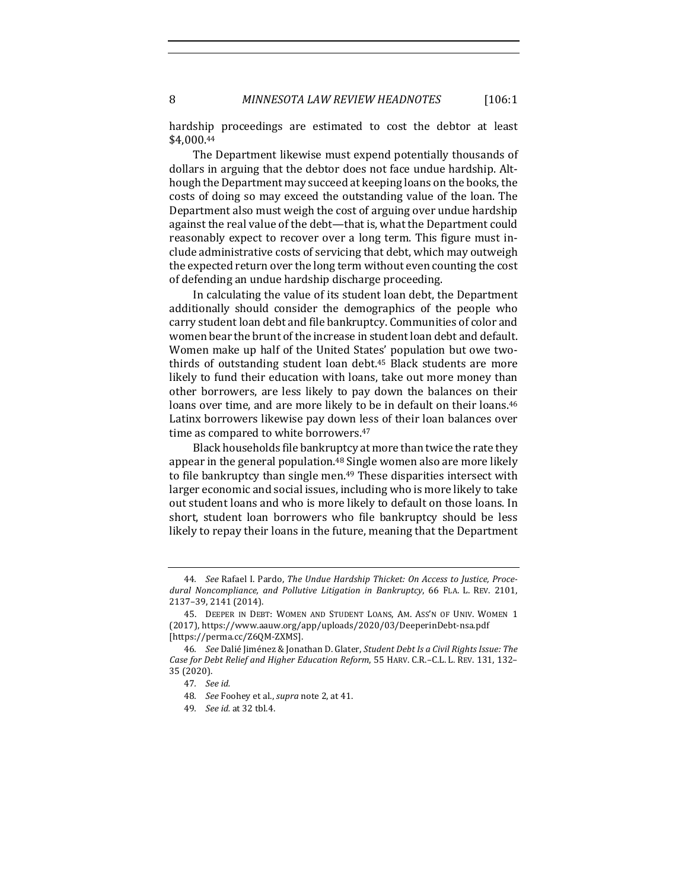8 *MINNESOTA LAW REVIEW HEADNOTES* [106:1

hardship proceedings are estimated to cost the debtor at least \$4,000.44

The Department likewise must expend potentially thousands of dollars in arguing that the debtor does not face undue hardship. Although the Department may succeed at keeping loans on the books, the costs of doing so may exceed the outstanding value of the loan. The Department also must weigh the cost of arguing over undue hardship against the real value of the debt—that is, what the Department could reasonably expect to recover over a long term. This figure must include administrative costs of servicing that debt, which may outweigh the expected return over the long term without even counting the cost of defending an undue hardship discharge proceeding.

In calculating the value of its student loan debt, the Department additionally should consider the demographics of the people who carry student loan debt and file bankruptcy. Communities of color and women bear the brunt of the increase in student loan debt and default. Women make up half of the United States' population but owe twothirds of outstanding student loan debt.<sup>45</sup> Black students are more likely to fund their education with loans, take out more money than other borrowers, are less likely to pay down the balances on their loans over time, and are more likely to be in default on their loans.<sup>46</sup> Latinx borrowers likewise pay down less of their loan balances over time as compared to white borrowers.<sup>47</sup>

Black households file bankruptcy at more than twice the rate they appear in the general population. $48$  Single women also are more likely to file bankruptcy than single men.<sup>49</sup> These disparities intersect with larger economic and social issues, including who is more likely to take out student loans and who is more likely to default on those loans. In short, student loan borrowers who file bankruptcy should be less likely to repay their loans in the future, meaning that the Department

<sup>44.</sup> See Rafael I. Pardo, The Undue Hardship Thicket: On Access to Justice, Procedural Noncompliance, and Pollutive Litigation in Bankruptcy, 66 FLA. L. REV. 2101, 2137–39, 2141 (2014).

<sup>45.</sup> DEEPER IN DEBT: WOMEN AND STUDENT LOANS, AM. ASS'N OF UNIV. WOMEN 1 (2017), https://www.aauw.org/app/uploads/2020/03/DeeperinDebt-nsa.pdf [https://perma.cc/Z6QM-ZXMS]. 

<sup>46.</sup> See Dalié Jiménez & Jonathan D. Glater, Student Debt Is a Civil Rights Issue: The *Case for Debt Relief and Higher Education Reform,* 55 HARV. C.R.-C.L. L. REV. 131, 132-35 (2020). 

<sup>47</sup>*. See id.*

<sup>48.</sup> *See* Foohey et al., *supra* note 2, at 41.

<sup>49</sup>*. See id.* at 32 tbl.4.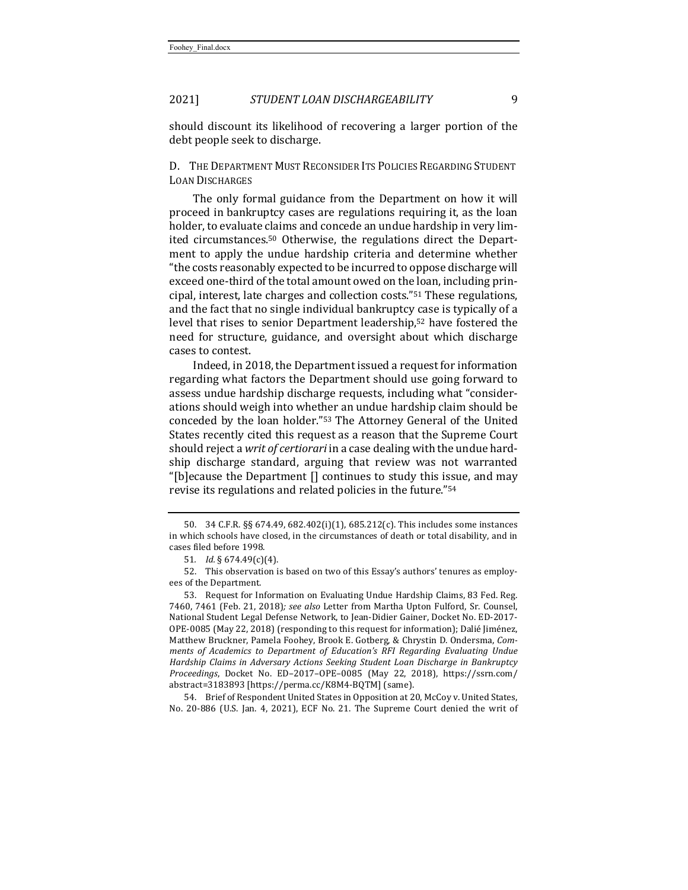should discount its likelihood of recovering a larger portion of the debt people seek to discharge.

## D. THE DEPARTMENT MUST RECONSIDER ITS POLICIES REGARDING STUDENT LOAN DISCHARGES

The only formal guidance from the Department on how it will proceed in bankruptcy cases are regulations requiring it, as the loan holder, to evaluate claims and concede an undue hardship in very limited circumstances.<sup>50</sup> Otherwise, the regulations direct the Department to apply the undue hardship criteria and determine whether "the costs reasonably expected to be incurred to oppose discharge will exceed one-third of the total amount owed on the loan, including principal, interest, late charges and collection costs."<sup>51</sup> These regulations, and the fact that no single individual bankruptcy case is typically of a level that rises to senior Department leadership,<sup>52</sup> have fostered the need for structure, guidance, and oversight about which discharge cases to contest.

Indeed, in 2018, the Department issued a request for information regarding what factors the Department should use going forward to assess undue hardship discharge requests, including what "considerations should weigh into whether an undue hardship claim should be conceded by the loan holder."<sup>53</sup> The Attorney General of the United States recently cited this request as a reason that the Supreme Court should reject a *writ of certiorari* in a case dealing with the undue hardship discharge standard, arguing that review was not warranted "[b] ecause the Department  $[]$  continues to study this issue, and may revise its regulations and related policies in the future."<sup>54</sup>

54. Brief of Respondent United States in Opposition at 20, McCoy v. United States, No. 20-886 (U.S. Jan. 4, 2021), ECF No. 21. The Supreme Court denied the writ of

<sup>50. 34</sup> C.F.R. §§ 674.49, 682.402(i)(1), 685.212(c). This includes some instances in which schools have closed, in the circumstances of death or total disability, and in cases filed before 1998.

<sup>51</sup>*. Id.* § 674.49(c)(4).

<sup>52.</sup> This observation is based on two of this Essay's authors' tenures as employees of the Department.

<sup>53.</sup> Request for Information on Evaluating Undue Hardship Claims, 83 Fed. Reg. 7460, 7461 (Feb. 21, 2018); see also Letter from Martha Upton Fulford, Sr. Counsel, National Student Legal Defense Network, to Jean-Didier Gainer, Docket No. ED-2017-OPE-0085 (May 22, 2018) (responding to this request for information); Dalié Jiménez, Matthew Bruckner, Pamela Foohey, Brook E. Gotberg, & Chrystin D. Ondersma, *Comments of Academics to Department of Education's RFI Regarding Evaluating Undue* Hardship Claims in Adversary Actions Seeking Student Loan Discharge in Bankruptcy *Proceedings*, Docket No. ED–2017–OPE–0085 (May 22, 2018), https://ssrn.com/ abstract=3183893 [https://perma.cc/K8M4-BQTM] (same).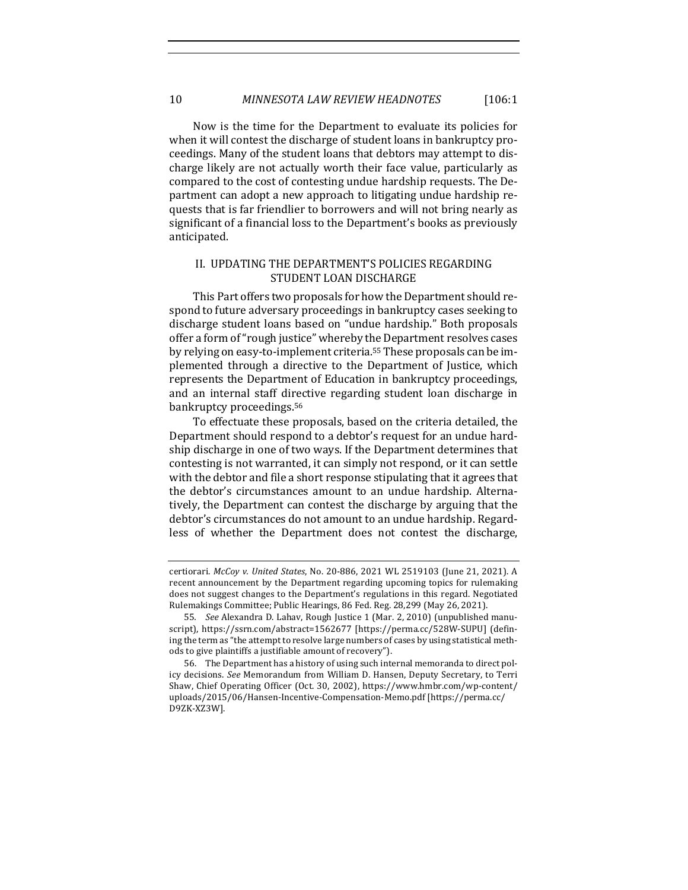Now is the time for the Department to evaluate its policies for when it will contest the discharge of student loans in bankruptcy proceedings. Many of the student loans that debtors may attempt to discharge likely are not actually worth their face value, particularly as compared to the cost of contesting undue hardship requests. The Department can adopt a new approach to litigating undue hardship requests that is far friendlier to borrowers and will not bring nearly as significant of a financial loss to the Department's books as previously anticipated. 

### II. UPDATING THE DEPARTMENT'S POLICIES REGARDING STUDENT LOAN DISCHARGE

This Part offers two proposals for how the Department should respond to future adversary proceedings in bankruptcy cases seeking to discharge student loans based on "undue hardship." Both proposals offer a form of "rough justice" whereby the Department resolves cases by relying on easy-to-implement criteria.<sup>55</sup> These proposals can be implemented through a directive to the Department of Justice, which represents the Department of Education in bankruptcy proceedings, and an internal staff directive regarding student loan discharge in bankruptcy proceedings.<sup>56</sup>

To effectuate these proposals, based on the criteria detailed, the Department should respond to a debtor's request for an undue hardship discharge in one of two ways. If the Department determines that contesting is not warranted, it can simply not respond, or it can settle with the debtor and file a short response stipulating that it agrees that the debtor's circumstances amount to an undue hardship. Alternatively, the Department can contest the discharge by arguing that the debtor's circumstances do not amount to an undue hardship. Regardless of whether the Department does not contest the discharge,

certiorari. *McCoy v. United States*, No. 20-886, 2021 WL 2519103 (June 21, 2021). A recent announcement by the Department regarding upcoming topics for rulemaking does not suggest changes to the Department's regulations in this regard. Negotiated Rulemakings Committee; Public Hearings, 86 Fed. Reg. 28,299 (May 26, 2021).

<sup>55.</sup> *See* Alexandra D. Lahav, Rough Justice 1 (Mar. 2, 2010) (unpublished manuscript), https://ssrn.com/abstract=1562677 [https://perma.cc/528W-SUPU] (defining the term as "the attempt to resolve large numbers of cases by using statistical methods to give plaintiffs a justifiable amount of recovery").

<sup>56.</sup> The Department has a history of using such internal memoranda to direct policy decisions. See Memorandum from William D. Hansen, Deputy Secretary, to Terri Shaw, Chief Operating Officer (Oct. 30, 2002), https://www.hmbr.com/wp-content/ uploads/2015/06/Hansen-Incentive-Compensation-Memo.pdf [https://perma.cc/ D9ZK-XZ3W].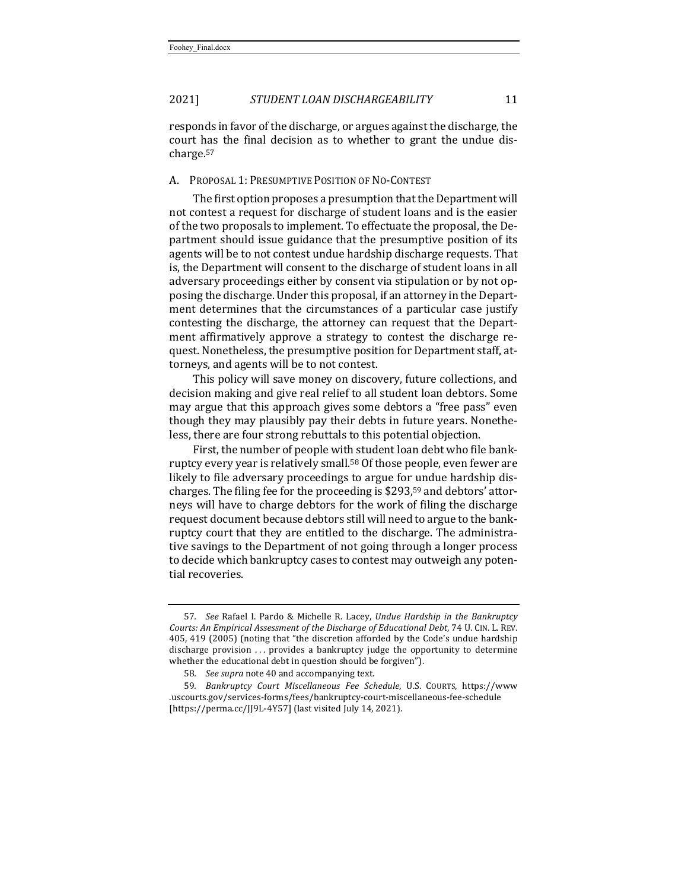responds in favor of the discharge, or argues against the discharge, the court has the final decision as to whether to grant the undue discharge.57

#### A. PROPOSAL 1: PRESUMPTIVE POSITION OF NO-CONTEST

The first option proposes a presumption that the Department will not contest a request for discharge of student loans and is the easier of the two proposals to implement. To effectuate the proposal, the Department should issue guidance that the presumptive position of its agents will be to not contest undue hardship discharge requests. That is, the Department will consent to the discharge of student loans in all adversary proceedings either by consent via stipulation or by not opposing the discharge. Under this proposal, if an attorney in the Department determines that the circumstances of a particular case justify contesting the discharge, the attorney can request that the Department affirmatively approve a strategy to contest the discharge request. Nonetheless, the presumptive position for Department staff, attorneys, and agents will be to not contest.

This policy will save money on discovery, future collections, and decision making and give real relief to all student loan debtors. Some may argue that this approach gives some debtors a "free pass" even though they may plausibly pay their debts in future years. Nonetheless, there are four strong rebuttals to this potential objection.

First, the number of people with student loan debt who file bankruptcy every year is relatively small.<sup>58</sup> Of those people, even fewer are likely to file adversary proceedings to argue for undue hardship discharges. The filing fee for the proceeding is  $$293,59$  and debtors' attorneys will have to charge debtors for the work of filing the discharge request document because debtors still will need to argue to the bankruptcy court that they are entitled to the discharge. The administrative savings to the Department of not going through a longer process to decide which bankruptcy cases to contest may outweigh any potential recoveries.

<sup>57.</sup> *See* Rafael I. Pardo & Michelle R. Lacey, *Undue Hardship in the Bankruptcy Courts: An Empirical Assessment of the Discharge of Educational Debt,* 74 U. CIN. L. REV. 405, 419 (2005) (noting that "the discretion afforded by the Code's undue hardship discharge provision ... provides a bankruptcy judge the opportunity to determine whether the educational debt in question should be forgiven").

<sup>58.</sup> See supra note 40 and accompanying text.

<sup>59</sup>*. Bankruptcy Court Miscellaneous Fee Schedule*, U.S. COURTS, https://www .uscourts.gov/services-forms/fees/bankruptcy-court-miscellaneous-fee-schedule [https://perma.cc/JJ9L-4Y57] (last visited July 14, 2021).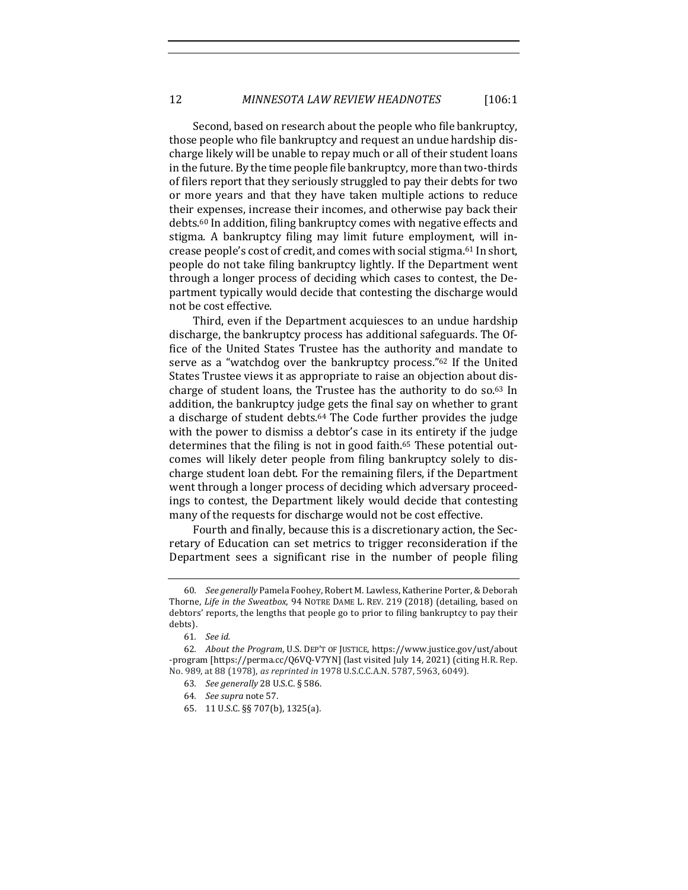Second, based on research about the people who file bankruptcy, those people who file bankruptcy and request an undue hardship discharge likely will be unable to repay much or all of their student loans in the future. By the time people file bankruptcy, more than two-thirds of filers report that they seriously struggled to pay their debts for two or more years and that they have taken multiple actions to reduce their expenses, increase their incomes, and otherwise pay back their debts.<sup>60</sup> In addition, filing bankruptcy comes with negative effects and stigma. A bankruptcy filing may limit future employment, will increase people's cost of credit, and comes with social stigma.<sup>61</sup> In short, people do not take filing bankruptcy lightly. If the Department went through a longer process of deciding which cases to contest, the Department typically would decide that contesting the discharge would not be cost effective.

Third, even if the Department acquiesces to an undue hardship discharge, the bankruptcy process has additional safeguards. The Office of the United States Trustee has the authority and mandate to serve as a "watchdog over the bankruptcy process."<sup>62</sup> If the United States Trustee views it as appropriate to raise an objection about discharge of student loans, the Trustee has the authority to do so. $63$  In addition, the bankruptcy judge gets the final say on whether to grant a discharge of student debts.<sup>64</sup> The Code further provides the judge with the power to dismiss a debtor's case in its entirety if the judge determines that the filing is not in good faith.<sup>65</sup> These potential outcomes will likely deter people from filing bankruptcy solely to discharge student loan debt. For the remaining filers, if the Department went through a longer process of deciding which adversary proceedings to contest, the Department likely would decide that contesting many of the requests for discharge would not be cost effective.

Fourth and finally, because this is a discretionary action, the Secretary of Education can set metrics to trigger reconsideration if the Department sees a significant rise in the number of people filing

<sup>60</sup>*. See generally* Pamela Foohey, Robert M. Lawless, Katherine Porter, & Deborah Thorne, *Life in the Sweatbox*, 94 NOTRE DAME L. REV. 219 (2018) (detailing, based on debtors' reports, the lengths that people go to prior to filing bankruptcy to pay their debts).

<sup>61</sup>*. See id.*

<sup>62.</sup> *About the Program*, U.S. DEP'T OF JUSTICE, https://www.justice.gov/ust/about -program [https://perma.cc/Q6VQ-V7YN] (last visited July 14, 2021) (citing H.R. Rep. No. 989, at 88 (1978), as reprinted in 1978 U.S.C.C.A.N. 5787, 5963, 6049).

<sup>63</sup>*. See generally* 28 U.S.C. § 586.

<sup>64</sup>*. See supra* note 57.

<sup>65.</sup> 11 U.S.C. §§ 707(b), 1325(a)*.*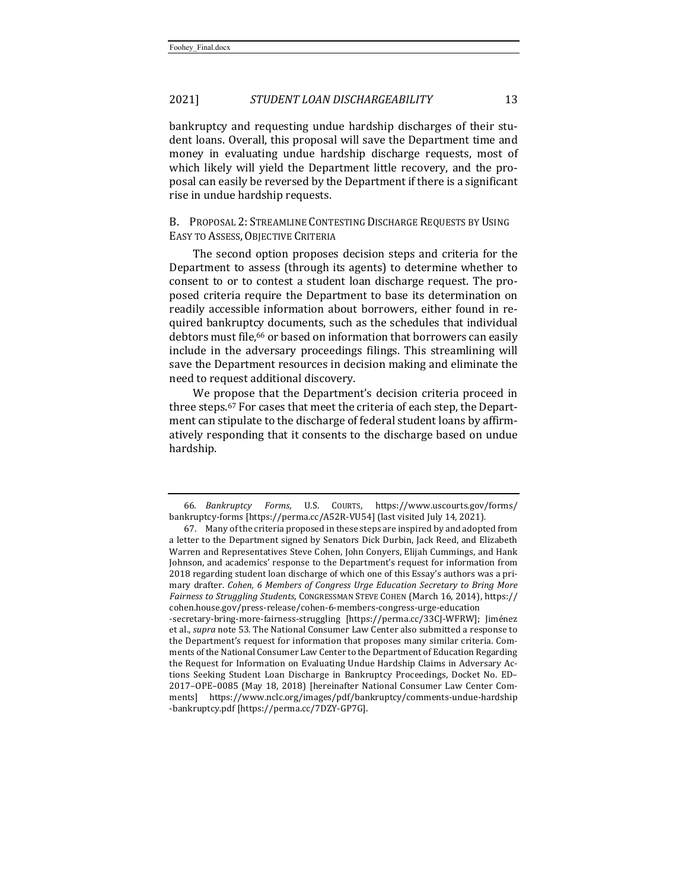bankruptcy and requesting undue hardship discharges of their student loans. Overall, this proposal will save the Department time and money in evaluating undue hardship discharge requests, most of which likely will yield the Department little recovery, and the proposal can easily be reversed by the Department if there is a significant rise in undue hardship requests.

B. PROPOSAL 2: STREAMLINE CONTESTING DISCHARGE REQUESTS BY USING EASY TO ASSESS, OBJECTIVE CRITERIA

The second option proposes decision steps and criteria for the Department to assess (through its agents) to determine whether to consent to or to contest a student loan discharge request. The proposed criteria require the Department to base its determination on readily accessible information about borrowers, either found in required bankruptcy documents, such as the schedules that individual debtors must file,<sup>66</sup> or based on information that borrowers can easily include in the adversary proceedings filings. This streamlining will save the Department resources in decision making and eliminate the need to request additional discovery.

We propose that the Department's decision criteria proceed in three steps.<sup>67</sup> For cases that meet the criteria of each step, the Department can stipulate to the discharge of federal student loans by affirmatively responding that it consents to the discharge based on undue hardship.

<sup>66</sup>*. Bankruptcy Forms*, U.S. COURTS, https://www.uscourts.gov/forms/ bankruptcy-forms [https://perma.cc/A52R-VU54] (last visited July 14, 2021).

<sup>67.</sup> Many of the criteria proposed in these steps are inspired by and adopted from a letter to the Department signed by Senators Dick Durbin, Jack Reed, and Elizabeth Warren and Representatives Steve Cohen, John Conyers, Elijah Cummings, and Hank Johnson, and academics' response to the Department's request for information from 2018 regarding student loan discharge of which one of this Essay's authors was a primary drafter. Cohen, 6 Members of Congress Urge Education Secretary to Bring More *Fairness to Struggling Students*, CONGRESSMAN STEVE COHEN (March 16, 2014), https:// cohen.house.gov/press-release/cohen-6-members-congress-urge-education

<sup>-</sup>secretary-bring-more-fairness-struggling [https://perma.cc/33CJ-WFRW]; Jiménez et al., *supra* note 53. The National Consumer Law Center also submitted a response to the Department's request for information that proposes many similar criteria. Comments of the National Consumer Law Center to the Department of Education Regarding the Request for Information on Evaluating Undue Hardship Claims in Adversary Actions Seeking Student Loan Discharge in Bankruptcy Proceedings, Docket No. ED-2017-OPE-0085 (May 18, 2018) [hereinafter National Consumer Law Center Comments] https://www.nclc.org/images/pdf/bankruptcy/comments-undue-hardship -bankruptcy.pdf [https://perma.cc/7DZY-GP7G].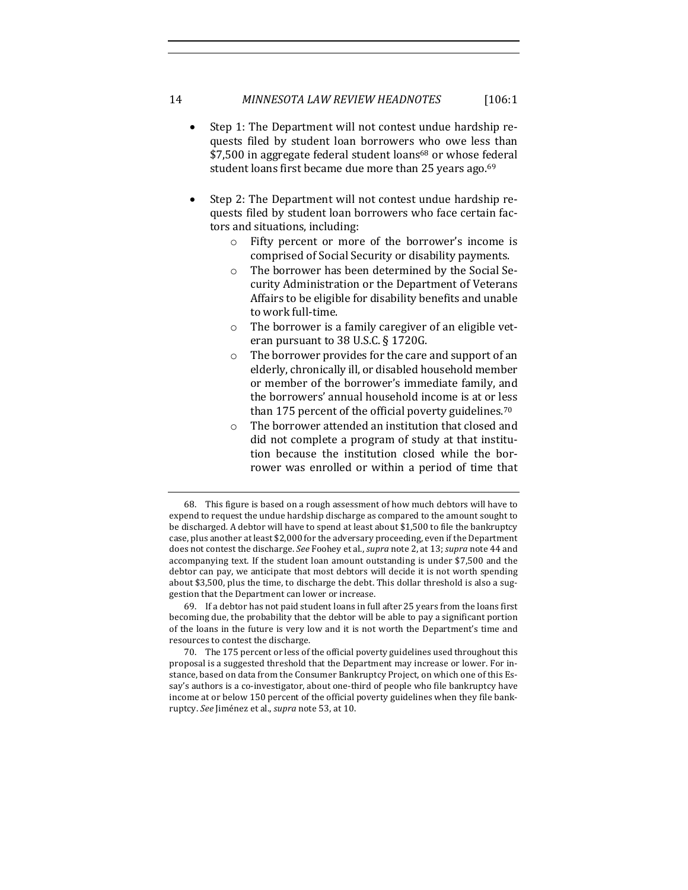- Step 1: The Department will not contest undue hardship requests filed by student loan borrowers who owe less than \$7,500 in aggregate federal student loans<sup>68</sup> or whose federal student loans first became due more than 25 years ago.<sup>69</sup>
- Step 2: The Department will not contest undue hardship requests filed by student loan borrowers who face certain factors and situations, including:
	- $\circ$  Fifty percent or more of the borrower's income is comprised of Social Security or disability payments.
	- $\circ$  The borrower has been determined by the Social Security Administration or the Department of Veterans Affairs to be eligible for disability benefits and unable to work full-time.
	- $\circ$  The borrower is a family caregiver of an eligible veteran pursuant to  $38$  U.S.C.  $\S$  1720G.
	- $\circ$  The borrower provides for the care and support of an elderly, chronically ill, or disabled household member or member of the borrower's immediate family, and the borrowers' annual household income is at or less than 175 percent of the official poverty guidelines.<sup>70</sup>
	- o The borrower attended an institution that closed and did not complete a program of study at that institution because the institution closed while the borrower was enrolled or within a period of time that

69. If a debtor has not paid student loans in full after 25 years from the loans first becoming due, the probability that the debtor will be able to pay a significant portion of the loans in the future is very low and it is not worth the Department's time and resources to contest the discharge.

<sup>68.</sup> This figure is based on a rough assessment of how much debtors will have to expend to request the undue hardship discharge as compared to the amount sought to be discharged. A debtor will have to spend at least about \$1,500 to file the bankruptcy case, plus another at least \$2,000 for the adversary proceeding, even if the Department does not contest the discharge. See Foohey et al., *supra* note 2, at 13; *supra* note 44 and accompanying text. If the student loan amount outstanding is under \$7,500 and the debtor can pay, we anticipate that most debtors will decide it is not worth spending about \$3,500, plus the time, to discharge the debt. This dollar threshold is also a suggestion that the Department can lower or increase.

<sup>70.</sup> The 175 percent or less of the official poverty guidelines used throughout this proposal is a suggested threshold that the Department may increase or lower. For instance, based on data from the Consumer Bankruptcy Project, on which one of this Essay's authors is a co-investigator, about one-third of people who file bankruptcy have income at or below 150 percent of the official poverty guidelines when they file bankruptcy. *See* Jiménez et al., *supra* note 53, at 10.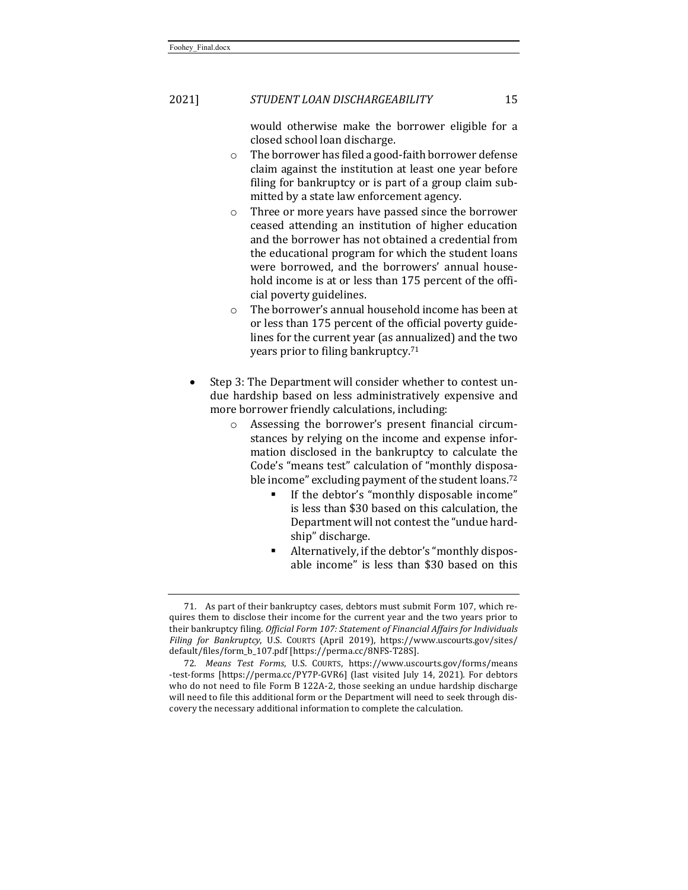would otherwise make the borrower eligible for a closed school loan discharge.

- $\circ$  The borrower has filed a good-faith borrower defense claim against the institution at least one vear before filing for bankruptcy or is part of a group claim submitted by a state law enforcement agency.
- o Three or more years have passed since the borrower ceased attending an institution of higher education and the borrower has not obtained a credential from the educational program for which the student loans were borrowed, and the borrowers' annual household income is at or less than 175 percent of the official poverty guidelines.
- $\circ$  The borrower's annual household income has been at or less than 175 percent of the official poverty guidelines for the current year (as annualized) and the two years prior to filing bankruptcy.<sup>71</sup>
- Step 3: The Department will consider whether to contest undue hardship based on less administratively expensive and more borrower friendly calculations, including:
	- o Assessing the borrower's present financial circumstances by relying on the income and expense information disclosed in the bankruptcy to calculate the Code's "means test" calculation of "monthly disposable income" excluding payment of the student loans.<sup>72</sup>
		- **•** If the debtor's "monthly disposable income" is less than \$30 based on this calculation, the Department will not contest the "undue hardship" discharge.
		- Alternatively, if the debtor's "monthly disposable income" is less than \$30 based on this

<sup>71.</sup> As part of their bankruptcy cases, debtors must submit Form 107, which requires them to disclose their income for the current year and the two years prior to their bankruptcy filing. *Official Form 107: Statement of Financial Affairs for Individuals Filing for Bankruptcy*, U.S. COURTS (April 2019), https://www.uscourts.gov/sites/ default/files/form\_b\_107.pdf [https://perma.cc/8NFS-T28S].

<sup>72</sup>*. Means Test Forms*, U.S. COURTS, https://www.uscourts.gov/forms/means -test-forms [https://perma.cc/PY7P-GVR6] (last visited July 14, 2021). For debtors who do not need to file Form B 122A-2, those seeking an undue hardship discharge will need to file this additional form or the Department will need to seek through discovery the necessary additional information to complete the calculation.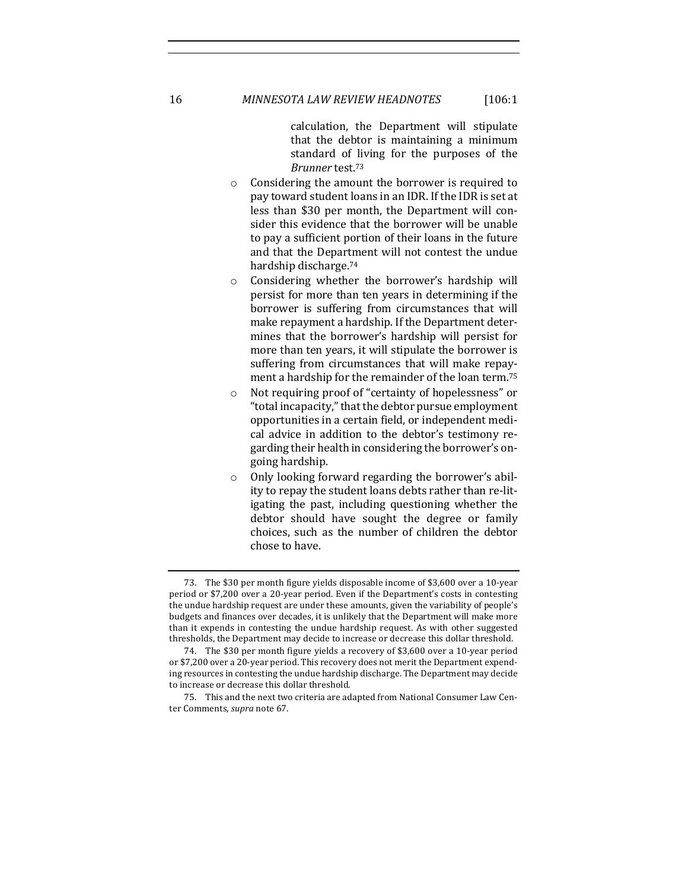calculation, the Department will stipulate that the debtor is maintaining a minimum standard of living for the purposes of the *Brunner* test.73

- $\circ$  Considering the amount the borrower is required to pay toward student loans in an IDR. If the IDR is set at less than \$30 per month, the Department will consider this evidence that the borrower will be unable to pay a sufficient portion of their loans in the future and that the Department will not contest the undue hardship discharge.<sup>74</sup>
- Considering whether the borrower's hardship will persist for more than ten years in determining if the borrower is suffering from circumstances that will make repayment a hardship. If the Department determines that the borrower's hardship will persist for more than ten years, it will stipulate the borrower is suffering from circumstances that will make repayment a hardship for the remainder of the loan term.<sup>75</sup>
- o Not requiring proof of "certainty of hopelessness" or "total incapacity," that the debtor pursue employment opportunities in a certain field, or independent medical advice in addition to the debtor's testimony regarding their health in considering the borrower's ongoing hardship.
- o Only looking forward regarding the borrower's ability to repay the student loans debts rather than re-litigating the past, including questioning whether the debtor should have sought the degree or family choices, such as the number of children the debtor chose to have.

<sup>73.</sup> The \$30 per month figure yields disposable income of \$3,600 over a 10-year period or \$7,200 over a 20-year period. Even if the Department's costs in contesting the undue hardship request are under these amounts, given the variability of people's budgets and finances over decades, it is unlikely that the Department will make more than it expends in contesting the undue hardship request. As with other suggested thresholds, the Department may decide to increase or decrease this dollar threshold.

<sup>74.</sup> The \$30 per month figure yields a recovery of \$3,600 over a 10-year period or \$7,200 over a 20-year period. This recovery does not merit the Department expending resources in contesting the undue hardship discharge. The Department may decide to increase or decrease this dollar threshold.

<sup>75.</sup> This and the next two criteria are adapted from National Consumer Law Center Comments, *supra* note 67.